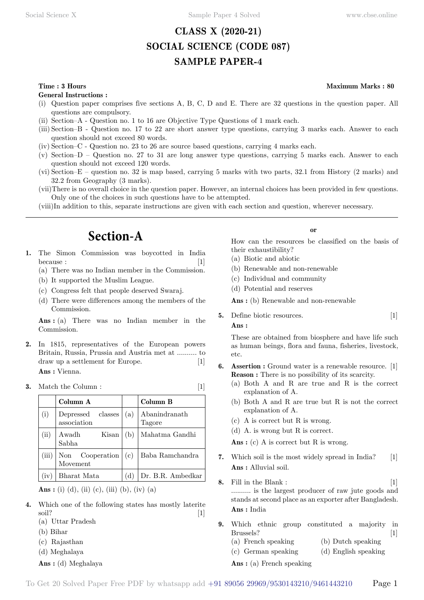# **CLASS X (2020-21) SOCIAL SCIENCE (CODE 087) SAMPLE PAPER-4**

## **Time : 3 Hours Maximum Marks : 80**

**General Instructions :**

- (i) Question paper comprises five sections A, B, C, D and E. There are 32 questions in the question paper. All questions are compulsory.
- (ii) Section–A Question no. 1 to 16 are Objective Type Questions of 1 mark each.
- (iii) Section–B Question no. 17 to 22 are short answer type questions, carrying 3 marks each. Answer to each question should not exceed 80 words.
- (iv) Section–C Question no. 23 to 26 are source based questions, carrying 4 marks each.
- (v) Section–D Question no. 27 to 31 are long answer type questions, carrying 5 marks each. Answer to each question should not exceed 120 words.
- (vi) Section–E question no. 32 is map based, carrying 5 marks with two parts, 32.1 from History (2 marks) and 32.2 from Geography (3 marks).
- (vii)There is no overall choice in the question paper. However, an internal choices has been provided in few questions. Only one of the choices in such questions have to be attempted.
- (viii)In addition to this, separate instructions are given with each section and question, wherever necessary.

# **Section-A**

- **1.** The Simon Commission was boycotted in India  $because:$  [1]
	- (a) There was no Indian member in the Commission.
	- (b) It supported the Muslim League.
	- (c) Congress felt that people deserved Swaraj.
	- (d) There were differences among the members of the Commission.

 **Ans :** (a) There was no Indian member in the Commission.

**2.** In 1815, representatives of the European powers Britain, Russia, Prussia and Austria met at .......... to draw up a settlement for Europe. [1]  **Ans :** Vienna.

#### **3.** Match the Column : [1]

|       | Column A                         |     | Column B                |
|-------|----------------------------------|-----|-------------------------|
| (i)   | Depressed classes<br>association | (a) | Abanindranath<br>Tagore |
| (ii)  | Kisan<br>Awadh<br>Sabha          | (b) | Mahatma Gandhi          |
| (iii) | Non Cooperation<br>Movement      | (c) | Baba Ramchandra         |
| (iv   | Bharat Mata                      | (d) | Dr. B.R. Ambedkar       |

 **Ans :** (i) (d), (ii) (c), (iii) (b), (iv) (a)

- **4.** Which one of the following states has mostly laterite soil? [1]
	- (a) Uttar Pradesh
	- (b) Bihar
	- (c) Rajasthan
	- (d) Meghalaya
	- **Ans :** (d) Meghalaya

#### **o**

How can the resources be classified on the basis of their exhaustibility?

- (a) Biotic and abiotic
- (b) Renewable and non-renewable
- (c) Individual and community
- (d) Potential and reserves

 **Ans :** (b) Renewable and non-renewable

**5.** Define biotic resources. [1]  **Ans :**

These are obtained from biosphere and have life such as human beings, flora and fauna, fisheries, livestock, etc.

- **Assertion :** Ground water is a renewable resource. [1] **Reason :** There is no possibility of its scarcity.
	- (a) Both A and R are true and R is the correct explanation of A.
	- (b) Both A and R are true but R is not the correct explanation of A.
	- (c) A is correct but R is wrong.
	- (d) A. is wrong but R is correct.

Ans : (c) A is correct but R is wrong.

- **7.** Which soil is the most widely spread in India? [1]  **Ans :** Alluvial soil.
- **8.** Fill in the Blank : [1] .......... is the largest producer of raw jute goods and stands at second place as an exporter after Bangladesh.  **Ans :** India
- **9.** Which ethnic group constituted a majority in Brussels? [1]
	- (a) French speaking (b) Dutch speaking
	- (c) German speaking (d) English speaking
	- **Ans :** (a) French speaking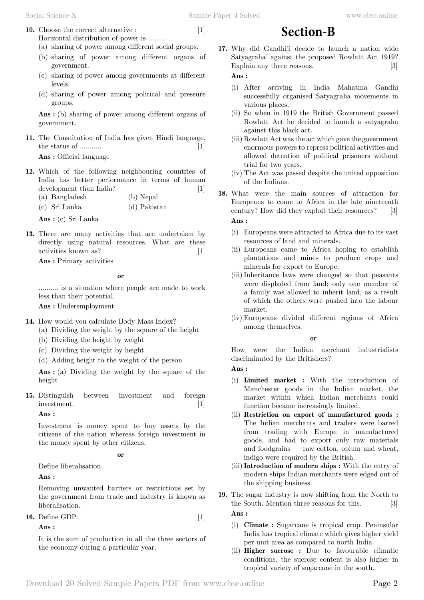**10.** Choose the correct alternative : [1] Horizontal distribution of power is .........

(a) sharing of power among different social groups.

- (b) sharing of power among different organs of government.
- (c) sharing of power among governments at different levels.
- (d) sharing of power among political and pressure groups.

 **Ans :** (b) sharing of power among different organs of government.

**11.** The Constitution of India has given Hindi language, the status of ........... [1]  **Ans :** Official language

- **12.** Which of the following neighbouring countries of India has better performance in terms of human development than India? [1] (a) Bangladesh (b) Nepal
	- (c) Sri Lanka (d) Pakistan

 **Ans :** (c) Sri Lanka

**13.** There are many activities that are undertaken by directly using natural resources. What are these activities known as? [1]

 **Ans :** Primary activities

 **o**

.......... is a situation where people are made to work less than their potential.

 **Ans :** Underemployment

- **14.** How would you calculate Body Mass Index?
	- (a) Dividing the weight by the square of the height
	- (b) Dividing the height by weight
	- (c) Dividing the weight by height
	- (d) Adding height to the weight of the person

 **Ans :** (a) Dividing the weight by the square of the height

**15.** Distinguish between investment and foreign investment. [1]

#### **Ans :**

Investment is money spent to buy assets by the citizens of the nation whereas foreign investment in the money spent by other citizens.

#### **o**

Define liberalisation.

 **Ans :**

Removing unwanted barriers or restrictions set by the government from trade and industry is known as liberalisation.

**16.** Define GDP. [1]

 **Ans :**

It is the sum of production in all the three sectors of the economy during a particular year.

**17.** Why did Gandhiji decide to launch a nation wide Satyagraha' against the proposed Rowlatt Act 1919? Explain any three reasons. [3]

**Section-B**

## **Ans :**

- (i) After arriving in India Mahatma Gandhi successfully organised Satyagraha movements in various places.
- (ii) So when in 1919 the British Government passed Rowlatt Act he decided to launch a satyagraha against this black act.
- (iii) Rowlatt Act was the act which gave the government enormous powers to repress political activities and allowed detention of political prisoners without trial for two years.
- (iv) The Act was passed despite the united opposition of the Indians.
- **18.** What were the main sources of attraction for Europeans to come to Africa in the late nineteenth century? How did they exploit their resources? [3]  **Ans :**
	- (i) Europeans were attracted to Africa due to its vast resources of land and minerals.
	- (ii) Europeans came to Africa hoping to establish plantations and mines to produce crops and minerals for export to Europe.
	- (iii)Inheritance laws were changed so that peasants were displaded from land; only one member of a family was allowed to inherit land, as a result of which the others were pushed into the labour market.
	- (iv) Europeans divided different regions of Africa among themselves.

## **o**

How were the Indian merchant industrialists discriminated by the Britishers?

 **Ans :**

- (i) **Limited market :** With the introduction of Manchester goods in the Indian market, the market within which Indian merchants could function became increasingly limited.
- (ii) **Restriction on export of manufactured goods :** The Indian merchants and traders were barred from trading with Europe in manufactured goods, and had to export only raw materials and foodgrains — raw cotton, opium and wheat, indigo were required by the British.
- (iii)**Introduction of modern ships :** With the entry of modern ships Indian merchants were edged out of the shipping business.
- **19.** The sugar industry is now shifting from the North to the South. Mention three reasons for this. [3]  **Ans :**
	- (i) **Climate :** Sugarcane is tropical crop. Peninsular India has tropical climate which gives higher yield per unit area as compared to north India.
	- (ii) **Higher sucrose :** Due to favourable climatic conditions, the sucrose content is also higher in tropical variety of sugarcane in the south.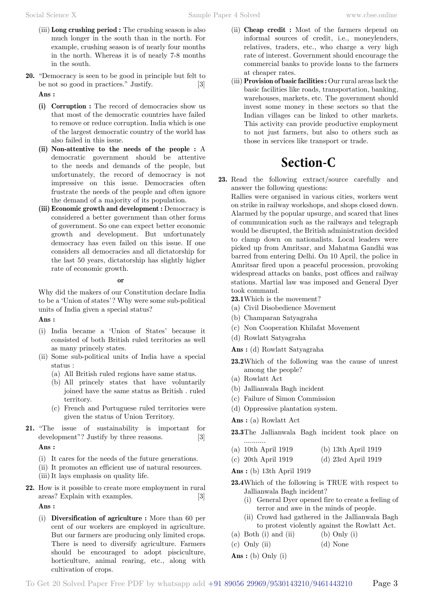- (iii) **Long crushing period :** The crushing season is also much longer in the south than in the north. For example, crushing season is of nearly four months in the north. Whereas it is of nearly 7-8 months in the south.
- **20.** "Democracy is seen to be good in principle but felt to be not so good in practices." Justify. [3]  **Ans :**
	- **(i) Corruption :** The record of democracies show us that most of the democratic countries have failed to remove or reduce corruption. India which is one of the largest democratic country of the world has also failed in this issue.
	- **(ii) Non-attentive to the needs of the people :** A democratic government should be attentive to the needs and demands of the people, but unfortunately, the record of democracy is not impressive on this issue. Democracies often frustrate the needs of the people and often ignore the demand of a majority of its population.
	- **(iii) Economic growth and development :** Democracy is considered a better government than other forms of government. So one can expect better economic growth and development. But unfortunately democracy has even failed on this issue. If one considers all democracies and all dictatorship for the last 50 years, dictatorship has slightly higher rate of economic growth.

#### **o**

Why did the makers of our Constitution declare India to be a 'Union of states'? Why were some sub-political units of India given a special status?

## **Ans :**

- (i) India became a 'Union of States' because it consisted of both British ruled territories as well as many princely states.
- (ii) Some sub-political units of India have a special status :
	- (a) All British ruled regions have same status.
	- (b) All princely states that have voluntarily joined have the same status as British . ruled territory.
	- (c) French and Portuguese ruled territories were given the status of Union Territory.
- **21.** "The issue of sustainability is important for development"? Justify by three reasons. [3]  **Ans :**
	- (i) It cares for the needs of the future generations.
	- (ii) It promotes an efficient use of natural resources. (iii)It lays emphasis on quality life.
- **22.** How is it possible to create more employment in rural areas? Explain with examples. [3]

 **Ans :**

(i) **Diversification of agriculture :** More than 60 per cent of our workers are employed in agriculture. But our farmers are producing only limited crops. There is need to diversify agriculture. Farmers should be encouraged to adopt pisciculture, horticulture, animal rearing, etc., along with cultivation of crops.

- (ii) **Cheap credit :** Most of the farmers depend on informal sources of credit, i.e., moneylenders, relatives, traders, etc., who charge a very high rate of interest. Government should encourage the commercial banks to provide loans to the farmers at cheaper rates.
- (iii) **Provision of basic facilities :** Our rural areas lack the basic facilities like roads, transportation, banking, warehouses, markets, etc. The government should invest some money in these sectors so that the Indian villages can be linked to other markets. This activity can provide productive employment to not just farmers, but also to others such as those in services like transport or trade.

# **Section-C**

**23.** Read the following extract/source carefully and answer the following questions:

Rallies were organised in various cities, workers went on strike in railway workshops, and shops closed down. Alarmed by the popular upsurge, and scared that lines of communication such as the railways and telegraph would be disrupted, the British administration decided to clamp down on nationalists. Local leaders were picked up from Amritsar, and Mahatma Gandhi was barred from entering Delhi. On 10 April, the police in Amritsar fired upon a peaceful procession, provoking widespread attacks on banks, post offices and railway stations. Martial law was imposed and General Dyer took command.

**23.1**Which is the movement?

- (a) Civil Disobedience Movement
- (b) Champaran Satyagraha
- (c) Non Cooperation Khilafat Movement
- (d) Rowlatt Satyagraha

 **Ans :** (d) Rowlatt Satyagraha

- **23.2**Which of the following was the cause of unrest among the people?
- (a) Rowlatt Act
- (b) Jallianwala Bagh incident
- (c) Failure of Simon Commission
- (d) Oppressive plantation system.

 **Ans :** (a) Rowlatt Act

- **23.3**The Jallianwala Bagh incident took place on ...........
- (a) 10th April 1919 (b) 13th April 1919
- (c) 20th April 1919 (d) 23rd April 1919

 **Ans :** (b) 13th April 1919

- **23.4**Which of the following is TRUE with respect to Jallianwala Bagh incident?
	- (i) General Dyer opened fire to create a feeling of terror and awe in the minds of people.
	- (ii) Crowd had gathered in the Jallianwala Bagh to protest violently against the Rowlatt Act.
- (a) Both (i) and (ii) (b) Only (i)
- (c) Only (ii) (d) None
- **Ans :** (b) Only (i)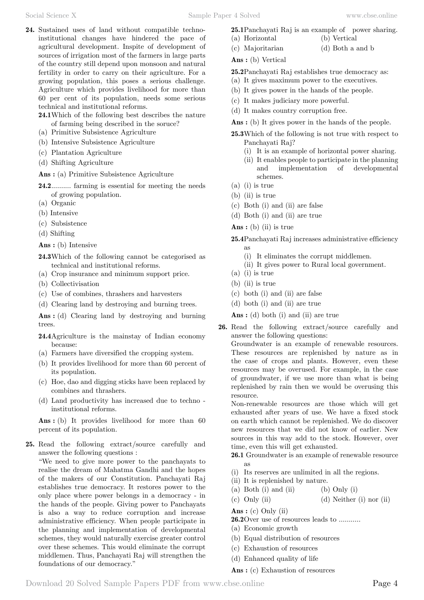- **24.** Sustained uses of land without compatible technoinstitutional changes have hindered the pace of agricultural development. Inspite of development of sources of irrigation most of the farmers in large parts of the country still depend upon monsoon and natural fertility in order to carry on their agriculture. For a growing population, this poses a serious challenge. Agriculture which provides livelihood for more than 60 per cent of its population, needs some serious technical and institutional reforms.
	- **24.1**Which of the following best describes the nature of farming being described in the soruce?
	- (a) Primitive Subsistence Agriculture
	- (b) Intensive Subsistence Agriculture
	- (c) Plantation Agriculture
	- (d) Shifting Agriculture
	- **Ans :** (a) Primitive Subsistence Agriculture
	- 24.2........... farming is essential for meeting the needs of growing population.
	- (a) Organic
	- (b) Intensive
	- (c) Subsistence
	- (d) Shifting

 **Ans :** (b) Intensive

- **24.3**Which of the following cannot be categorised as technical and institutional reforms.
- (a) Crop insurance and minimum support price.
- (b) Collectivisation
- (c) Use of combines, thrashers and harvesters
- (d) Clearing land by destroying and burning trees.

 **Ans :** (d) Clearing land by destroying and burning trees.

- **24.4**Agriculture is the mainstay of Indian economy because:
- (a) Farmers have diversified the cropping system.
- (b) It provides livelihood for more than 60 percent of its population.
- (c) Hoe, dao and digging sticks have been replaced by combines and thrashers.
- (d) Land productivity has increased due to techno institutional reforms.

 **Ans :** (b) It provides livelihood for more than 60 percent of its population.

**25.** Read the following extract/source carefully and answer the following questions :

"We need to give more power to the panchayats to realise the dream of Mahatma Gandhi and the hopes of the makers of our Constitution. Panchayati Raj establishes true democracy. It restores power to the only place where power belongs in a democracy - in the hands of the people. Giving power to Panchayats is also a way to reduce corruption and increase administrative efficiency. When people participate in the planning and implementation of developmental schemes, they would naturally exercise greater control over these schemes. This would eliminate the corrupt middlemen. Thus, Panchayati Raj will strengthen the foundations of our democracy."

- **25.1**Panchayati Raj is an example of power sharing.
- (a) Horizontal (b) Vertical
- (c) Majoritarian (d) Both a and b

 **Ans :** (b) Vertical

- **25.2**Panchayati Raj establishes true democracy as:
- (a) It gives maximum power to the executives.
- (b) It gives power in the hands of the people.
- (c) It makes judiciary more powerful.
- (d) It makes country corruption free.

 **Ans :** (b) It gives power in the hands of the people.

- **25.3**Which of the following is not true with respect to Panchayati Raj?
	- (i) It is an example of horizontal power sharing.
	- (ii) It enables people to participate in the planning and implementation of developmental schemes.
- (a) (i) is true
- (b) (ii) is true
- (c) Both (i) and (ii) are false
- (d) Both (i) and (ii) are true
- **Ans :** (b) (ii) is true
- **25.4**Panchayati Raj increases administrative efficiency
	- as (i) It eliminates the corrupt middlemen.
	- (ii) It gives power to Rural local government.
- (a) (i) is true
- (b) (ii) is true
- (c) both (i) and (ii) are false
- (d) both (i) and (ii) are true

 **Ans :** (d) both (i) and (ii) are true

**26.** Read the following extract/source carefully and answer the following questions:

Groundwater is an example of renewable resources. These resources are replenished by nature as in the case of crops and plants. However, even these resources may be overused. For example, in the case of groundwater, if we use more than what is being replenished by rain then we would be overusing this resource.

Non-renewable resources are those which will get exhausted after years of use. We have a fixed stock on earth which cannot be replenished. We do discover new resources that we did not know of earlier. New sources in this way add to the stock. However, over time, even this will get exhausted.

- **26.1** Groundwater is an example of renewable resource as
- (i) Its reserves are unlimited in all the regions.
- (ii) It is replenished by nature.
- (a) Both (i) and (ii) (b) Only (i)
- (c) Only (ii)  $(d)$  Neither (i) nor (ii)

 **Ans :** (c) Only (ii)

- **26.2**Over use of resources leads to ...........
- (a) Economic growth
- (b) Equal distribution of resources
- (c) Exhaustion of resources
- (d) Enhanced quality of life

 **Ans :** (c) Exhaustion of resources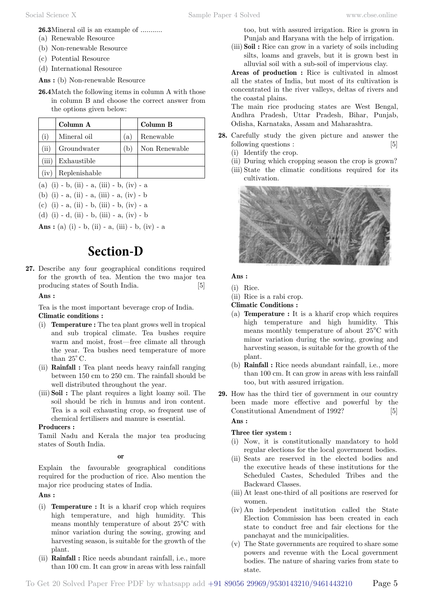**26.3**Mineral oil is an example of ...........

- (a) Renewable Resource
- (b) Non-renewable Resource
- (c) Potential Resource
- (d) International Resource

 **Ans :** (b) Non-renewable Resource

**26.4**Match the following items in column A with those in column B and choose the correct answer from the options given below:

|                         | Column A      |              | Column B      |
|-------------------------|---------------|--------------|---------------|
|                         | Mineral oil   | $\mathbf{a}$ | Renewable     |
| $\mathbf{ii}$           | Groundwater   | (b)          | Non Renewable |
| $\overline{\text{iii}}$ | Exhaustible   |              |               |
| (iv)                    | Replenishable |              |               |

- (a) (i) b, (ii) a, (iii) b, (iv) a
- (b) (i) a, (ii) a, (iii) a, (iv) b
- (c) (i) a, (ii) b, (iii) b, (iv) a
- (d) (i) d, (ii) b, (iii) a, (iv) b

 **Ans :** (a) (i) - b, (ii) - a, (iii) - b, (iv) - a

# **Section-D**

**27.** Describe any four geographical conditions required for the growth of tea. Mention the two major tea producing states of South India. [5]

#### **Ans :**

Tea is the most important beverage crop of India. **Climatic conditions :**

- (i) **Temperature :** The tea plant grows well in tropical and sub tropical climate. Tea bushes require warm and moist, frost—free climate all through the year. Tea bushes need temperature of more than  $25^{\circ}$  C.
- (ii) **Rainfall :** Tea plant needs heavy rainfall ranging between 150 cm to 250 cm. The rainfall should be well distributed throughout the year.
- (iii) **Soil :** The plant requires a light loamy soil. The soil should be rich in humus and iron content. Tea is a soil exhausting crop, so frequent use of chemical fertilisers and manure is essential.

#### **Producers :**

Tamil Nadu and Kerala the major tea producing states of South India.

#### **o**

Explain the favourable geographical conditions required for the production of rice. Also mention the major rice producing states of India.

#### **Ans :**

- (i) **Temperature :** It is a kharif crop which requires high temperature, and high humidity. This means monthly temperature of about 25°C with minor variation during the sowing, growing and harvesting season, is suitable for the growth of the plant.
- (ii) **Rainfall :** Rice needs abundant rainfall, i.e., more than 100 cm. It can grow in areas with less rainfall

too, but with assured irrigation. Rice is grown in Punjab and Haryana with the help of irrigation.

(iii) **Soil :** Rice can grow in a variety of soils including silts, loams and gravels, but it is grown best in alluvial soil with a sub-soil of impervious clay.

**Areas of production :** Rice is cultivated in almost all the states of India, but most of its cultivation is concentrated in the river valleys, deltas of rivers and the coastal plains.

The main rice producing states are West Bengal, Andhra Pradesh, Uttar Pradesh, Bihar, Punjab, Odisha, Karnataka, Assam and Maharashtra.

- **28.** Carefully study the given picture and answer the following questions : [5]
	- (i) Identify the crop.
	- (ii) During which cropping season the crop is grown?
	- (iii) State the climatic conditions required for its cultivation.



## **Ans :**

(i) Rice.

(ii) Rice is a rabi crop.

**Climatic Conditions :**

- (a) **Temperature :** It is a kharif crop which requires high temperature and high humidity. This means monthly temperature of about 25°C with minor variation during the sowing, growing and harvesting season, is suitable for the growth of the plant.
- (b) **Rainfall :** Rice needs abundant rainfall, i.e., more than 100 cm. It can grow in areas with less rainfall too, but with assured irrigation.
- **29.** How has the third tier of government in our country been made more effective and powerful by the Constitutional Amendment of 1992? [5]  **Ans :**

## **Three tier system :**

- (i) Now, it is constitutionally mandatory to hold regular elections for the local government bodies.
- (ii) Seats are reserved in the elected bodies and the executive heads of these institutions for the Scheduled Castes, Scheduled Tribes and the Backward Classes.
- (iii) At least one-third of all positions are reserved for women.
- (iv) An independent institution called the State Election Commission has been created in each state to conduct free and fair elections for the panchayat and the municipalities.
- (v) The State governments are required to share some powers and revenue with the Local government bodies. The nature of sharing varies from state to state.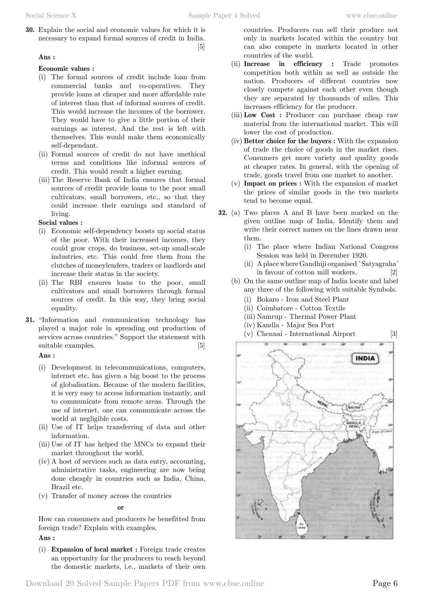**30.** Explain the social and economic values for which it is necessary to expand formal sources of credit in India. [5]

## **Ans :**

## **Economic values :**

- (i) The formal sources of credit include loan from commercial banks and co-operatives. They provide loans at cheaper and more affordable rate of interest than that of informal sources of credit. This would increase the incomes of the borrower. They would have to give a little portion of their earnings as interest. And the rest is left with themselves. This would make them economically self-dependant.
- (ii) Formal sources of credit do not have unethical terms and conditions like informal sources of credit. This would result a higher earning.
- (iii) The Reserve Bank of India ensures that formal sources of credit provide loans to the poor small cultivators, small borrowers, etc., so that they could increase their earnings and standard of living.

## **Social values :**

- (i) Economic self-dependency boosts up social status of the poor. With their increased incomes, they could grow crops, do business, set-up small-scale industries, etc. This could free them from the clutches of moneylenders, traders or landlords and increase their status in the society.
- (ii) The RBI ensures loans to the poor, small cultivators and small borrowers through formal sources of credit. In this way, they bring social equality.
- **31.** "Information and communication technology has played a major role in spreading out production of services across countries." Support the statement with suitable examples. [5]

## **Ans :**

- (i) Development in telecommunications, computers, internet etc. has given a big boost to the process of globalisation. Because of the modern facilities, it is very easy to access information instantly, and to communicate from remote areas. Through the use of internet, one can communicate across the world at negligible costs.
- (ii) Use of IT helps transferring of data and other information.
- (iii) Use of IT has helped the MNCs to expand their market throughout the world.
- (iv) A host of services such as data entry, accounting, administrative tasks, engineering are now being done cheaply in countries such as India, China, Brazil etc.
- (v) Transfer of money across the countries

## **o**

How can consumers and producers be benefitted from foreign trade? Explain with examples.

## **Ans :**

(i) **Expansion of local market :** Foreign trade creates an opportunity for the producers to reach beyond the domestic markets, i.e., markets of their own countries. Producers can sell their produce not only in markets located within the country but can also compete in markets located in other countries of the world.

- (ii) **Increase in efficiency :** Trade promotes competition both within as well as outside the nation. Producers of different countries now closely compete against each other even though they are separated by thousands of miles. This increases efficiency for the producer.
- (iii) **Low Cost :** Producer can purchase cheap raw material from the international market. This will lower the cost of production.
- (iv) **Better choice for the buyers :** With the expansion of trade the choice of goods in the market rises. Consumers get more variety and quality goods at cheaper rates. In general, with the opening of trade, goods travel from one market to another.
- (v) **Impact on prices :** With the expansion of market the prices of similar goods in the two markets tend to become equal.
- **32.** (a) Two places A and B have been marked on the given outline map of India. Identify them and write their correct names on the lines drawn near them.
	- (i) The place where Indian National Congress Session was held in December 1920.
	- (ii) A place where Gandhiji organised `Satyagraha' in favour of cotton mill workers. [2]
	- (b) On the same outline map of India locate and label any three of the following with suitable Symbols.
		- (i) Bokaro Iron and Steel Plant
		- (ii) Coimbatore Cotton Textile
		- (iii) Namrup Thermal Power Plant
		- (iv) Kandla Major Sea Port
		- (v) Chennai International Airport [3]